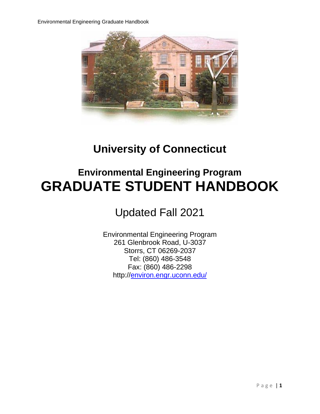

# **University of Connecticut**

# **Environmental Engineering Program GRADUATE STUDENT HANDBOOK**

Updated Fall 2021

Environmental Engineering Program 261 Glenbrook Road, U-3037 Storrs, CT 06269-2037 Tel: (860) 486-3548 Fax: (860) 486-2298 http:/[/environ.engr.uconn.edu/](https://environ.engr.uconn.edu/)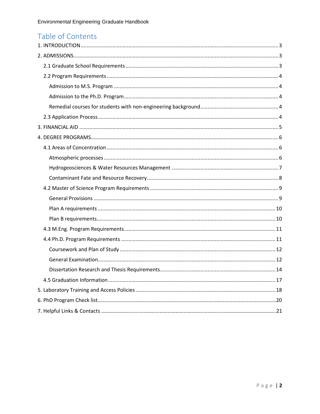# Table of Contents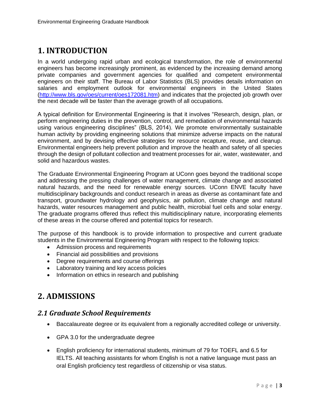# <span id="page-2-0"></span>**1. INTRODUCTION**

In a world undergoing rapid urban and ecological transformation, the role of environmental engineers has become increasingly prominent, as evidenced by the increasing demand among private companies and government agencies for qualified and competent environmental engineers on their staff. The Bureau of Labor Statistics (BLS) provides details information on salaries and employment outlook for environmental engineers in the United States [\(http://www.bls.gov/oes/current/oes172081.htm\)](http://www.bls.gov/oes/current/oes172081.htm) and indicates that the projected job growth over the next decade will be faster than the average growth of all occupations.

A typical definition for Environmental Engineering is that it involves "Research, design, plan, or perform engineering duties in the prevention, control, and remediation of environmental hazards using various engineering disciplines" (BLS, 2014). We promote environmentally sustainable human activity by providing engineering solutions that minimize adverse impacts on the natural environment, and by devising effective strategies for resource recapture, reuse, and cleanup. Environmental engineers help prevent pollution and improve the health and safety of all species through the design of pollutant collection and treatment processes for air, water, wastewater, and solid and hazardous wastes.

The Graduate Environmental Engineering Program at UConn goes beyond the traditional scope and addressing the pressing challenges of water management, climate change and associated natural hazards, and the need for renewable energy sources. UConn ENVE faculty have multidisciplinary backgrounds and conduct research in areas as diverse as contaminant fate and transport, groundwater hydrology and geophysics, air pollution, climate change and natural hazards, water resources management and public health, microbial fuel cells and solar energy. The graduate programs offered thus reflect this multidisciplinary nature, incorporating elements of these areas in the course offered and potential topics for research.

The purpose of this handbook is to provide information to prospective and current graduate students in the Environmental Engineering Program with respect to the following topics:

- Admission process and requirements
- Financial aid possibilities and provisions
- Degree requirements and course offerings
- Laboratory training and key access policies
- Information on ethics in research and publishing

# <span id="page-2-1"></span>**2. ADMISSIONS**

### <span id="page-2-2"></span>*2.1 Graduate School Requirements*

- Baccalaureate degree or its equivalent from a regionally accredited college or university.
- GPA 3.0 for the undergraduate degree
- English proficiency for international students, minimum of 79 for TOEFL and 6.5 for IELTS. All teaching assistants for whom English is not a native language must pass an oral English proficiency test regardless of citizenship or visa status.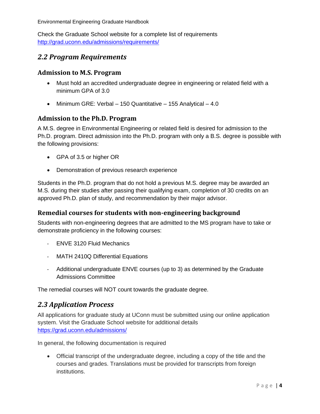Check the Graduate School website for a complete list of requirements [http://grad.uconn.edu/admissions/requirements/](https://grad.uconn.edu/admissions/requirements/)

### <span id="page-3-0"></span>*2.2 Program Requirements*

#### <span id="page-3-1"></span>**Admission to M.S. Program**

- Must hold an accredited undergraduate degree in engineering or related field with a minimum GPA of 3.0
- Minimum GRE: Verbal 150 Quantitative 155 Analytical 4.0

#### <span id="page-3-2"></span>**Admission to the Ph.D. Program**

A M.S. degree in Environmental Engineering or related field is desired for admission to the Ph.D. program. Direct admission into the Ph.D. program with only a B.S. degree is possible with the following provisions:

- GPA of 3.5 or higher OR
- Demonstration of previous research experience

Students in the Ph.D. program that do not hold a previous M.S. degree may be awarded an M.S. during their studies after passing their qualifying exam, completion of 30 credits on an approved Ph.D. plan of study, and recommendation by their major advisor.

#### <span id="page-3-3"></span>**Remedial courses for students with non-engineering background**

Students with non-engineering degrees that are admitted to the MS program have to take or demonstrate proficiency in the following courses:

- ENVE 3120 Fluid Mechanics
- MATH 2410Q Differential Equations
- Additional undergraduate ENVE courses (up to 3) as determined by the Graduate Admissions Committee

The remedial courses will NOT count towards the graduate degree.

### <span id="page-3-4"></span>*2.3 Application Process*

All applications for graduate study at UConn must be submitted using our online application system. Visit the Graduate School website for additional details <https://grad.uconn.edu/admissions/>

In general, the following documentation is required

• Official transcript of the undergraduate degree, including a copy of the title and the courses and grades. Translations must be provided for transcripts from foreign institutions.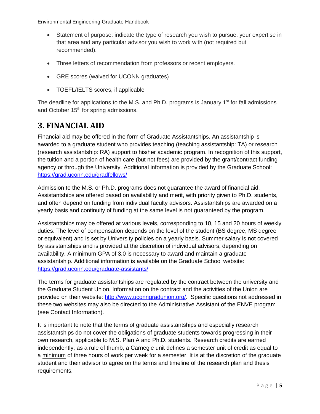- Statement of purpose: indicate the type of research you wish to pursue, your expertise in that area and any particular advisor you wish to work with (not required but recommended).
- Three letters of recommendation from professors or recent employers.
- GRE scores (waived for UCONN graduates)
- TOEFL/IELTS scores, if applicable

The deadline for applications to the M.S. and Ph.D. programs is January  $1<sup>st</sup>$  for fall admissions and October 15<sup>th</sup> for spring admissions.

# <span id="page-4-0"></span>**3. FINANCIAL AID**

Financial aid may be offered in the form of Graduate Assistantships. An assistantship is awarded to a graduate student who provides teaching (teaching assistantship: TA) or research (research assistantship: RA) support to his/her academic program. In recognition of this support, the tuition and a portion of health care (but not fees) are provided by the grant/contract funding agency or through the University. Additional information is provided by the Graduate School: https://grad.uconn.edu/gradfellows/

Admission to the M.S. or Ph.D. programs does not guarantee the award of financial aid. Assistantships are offered based on availability and merit, with priority given to Ph.D. students, and often depend on funding from individual faculty advisors. Assistantships are awarded on a yearly basis and continuity of funding at the same level is not guaranteed by the program.

Assistantships may be offered at various levels, corresponding to 10, 15 and 20 hours of weekly duties. The level of compensation depends on the level of the student (BS degree, MS degree or equivalent) and is set by University policies on a yearly basis. Summer salary is not covered by assistantships and is provided at the discretion of individual advisors, depending on availability. A minimum GPA of 3.0 is necessary to award and maintain a graduate assistantship. Additional information is available on the Graduate School website: https://grad.uconn.edu/graduate-assistants/

The terms for graduate assistantships are regulated by the contract between the university and the Graduate Student Union. Information on the contract and the activities of the Union are provided on their website: [http://www.uconngradunion.org/.](http://www.uconngradunion.org/) Specific questions not addressed in these two websites may also be directed to the Administrative Assistant of the ENVE program (see Contact Information).

It is important to note that the terms of graduate assistantships and especially research assistantships do not cover the obligations of graduate students towards progressing in their own research, applicable to M.S. Plan A and Ph.D. students. Research credits are earned independently; as a rule of thumb, a Carnegie unit defines a semester unit of credit as equal to a minimum of three hours of work per week for a semester. It is at the discretion of the graduate student and their advisor to agree on the terms and timeline of the research plan and thesis requirements.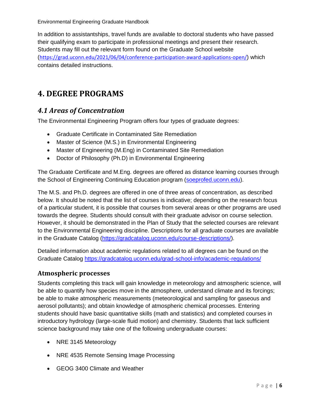In addition to assistantships, travel funds are available to doctoral students who have passed their qualifying exam to participate in professional meetings and present their research. Students may fill out the relevant form found on the Graduate School website (<https://grad.uconn.edu/2021/06/04/conference-participation-award-applications-open/>) which contains detailed instructions.

# <span id="page-5-0"></span>**4. DEGREE PROGRAMS**

## <span id="page-5-1"></span>*4.1 Areas of Concentration*

The Environmental Engineering Program offers four types of graduate degrees:

- Graduate Certificate in Contaminated Site Remediation
- Master of Science (M.S.) in Environmental Engineering
- Master of Engineering (M.Eng) in Contaminated Site Remediation
- Doctor of Philosophy (Ph.D) in Environmental Engineering

The Graduate Certificate and M.Eng. degrees are offered as distance learning courses through the School of Engineering Continuing Education program [\(soeprofed.uconn.edu\)](https://soeprofed.uconn.edu/).

The M.S. and Ph.D. degrees are offered in one of three areas of concentration, as described below. It should be noted that the list of courses is indicative; depending on the research focus of a particular student, it is possible that courses from several areas or other programs are used towards the degree. Students should consult with their graduate advisor on course selection. However, it should be demonstrated in the Plan of Study that the selected courses are relevant to the Environmental Engineering discipline. Descriptions for all graduate courses are available in the Graduate Catalog (https://gradcatalog.uconn.edu/course-descriptions/).

Detailed information about academic regulations related to all degrees can be found on the Graduate Catalog<https://gradcatalog.uconn.edu/grad-school-info/academic-regulations/>

#### <span id="page-5-2"></span>**Atmospheric processes**

Students completing this track will gain knowledge in meteorology and atmospheric science, will be able to quantify how species move in the atmosphere, understand climate and its forcings; be able to make atmospheric measurements (meteorological and sampling for gaseous and aerosol pollutants); and obtain knowledge of atmospheric chemical processes. Entering students should have basic quantitative skills (math and statistics) and completed courses in introductory hydrology (large-scale fluid motion) and chemistry. Students that lack sufficient science background may take one of the following undergraduate courses:

- NRE 3145 Meteorology
- NRE 4535 Remote Sensing Image Processing
- GEOG 3400 Climate and Weather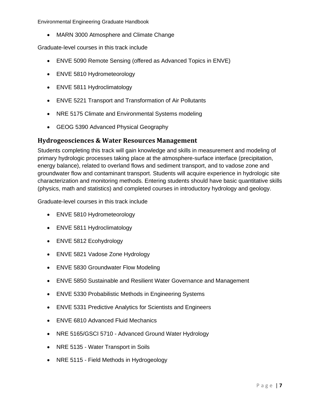• MARN 3000 Atmosphere and Climate Change

Graduate-level courses in this track include

- ENVE 5090 Remote Sensing (offered as Advanced Topics in ENVE)
- ENVE 5810 Hydrometeorology
- ENVE 5811 Hydroclimatology
- ENVE 5221 Transport and Transformation of Air Pollutants
- NRE 5175 Climate and Environmental Systems modeling
- GEOG 5390 Advanced Physical Geography

#### <span id="page-6-0"></span>**Hydrogeosciences & Water Resources Management**

Students completing this track will gain knowledge and skills in measurement and modeling of primary hydrologic processes taking place at the atmosphere-surface interface (precipitation, energy balance), related to overland flows and sediment transport, and to vadose zone and groundwater flow and contaminant transport. Students will acquire experience in hydrologic site characterization and monitoring methods. Entering students should have basic quantitative skills (physics, math and statistics) and completed courses in introductory hydrology and geology.

Graduate-level courses in this track include

- ENVE 5810 Hydrometeorology
- ENVE 5811 Hydroclimatology
- ENVE 5812 Ecohydrology
- ENVE 5821 Vadose Zone Hydrology
- ENVE 5830 Groundwater Flow Modeling
- ENVE 5850 Sustainable and Resilient Water Governance and Management
- ENVE 5330 Probabilistic Methods in Engineering Systems
- ENVE 5331 Predictive Analytics for Scientists and Engineers
- **ENVE 6810 Advanced Fluid Mechanics**
- NRE 5165/GSCI 5710 Advanced Ground Water Hydrology
- NRE 5135 Water Transport in Soils
- NRE 5115 Field Methods in Hydrogeology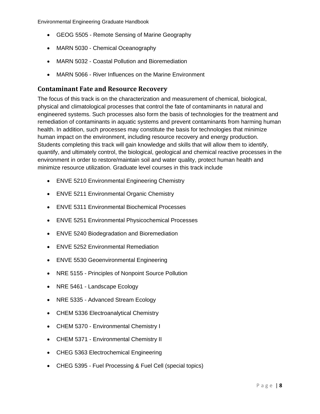- GEOG 5505 Remote Sensing of Marine Geography
- MARN 5030 Chemical Oceanography
- MARN 5032 Coastal Pollution and Bioremediation
- MARN 5066 River Influences on the Marine Environment

#### <span id="page-7-0"></span>**Contaminant Fate and Resource Recovery**

The focus of this track is on the characterization and measurement of chemical, biological, physical and climatological processes that control the fate of contaminants in natural and engineered systems. Such processes also form the basis of technologies for the treatment and remediation of contaminants in aquatic systems and prevent contaminants from harming human health. In addition, such processes may constitute the basis for technologies that minimize human impact on the environment, including resource recovery and energy production. Students completing this track will gain knowledge and skills that will allow them to identify, quantify, and ultimately control, the biological, geological and chemical reactive processes in the environment in order to restore/maintain soil and water quality, protect human health and minimize resource utilization. Graduate level courses in this track include

- ENVE 5210 Environmental Engineering Chemistry
- ENVE 5211 Environmental Organic Chemistry
- ENVE 5311 Environmental Biochemical Processes
- ENVE 5251 Environmental Physicochemical Processes
- ENVE 5240 Biodegradation and Bioremediation
- ENVE 5252 Environmental Remediation
- ENVE 5530 Geoenvironmental Engineering
- NRE 5155 Principles of Nonpoint Source Pollution
- NRE 5461 Landscape Ecology
- NRE 5335 Advanced Stream Ecology
- CHEM 5336 Electroanalytical Chemistry
- CHEM 5370 Environmental Chemistry I
- CHEM 5371 Environmental Chemistry II
- CHEG 5363 Electrochemical Engineering
- CHEG 5395 Fuel Processing & Fuel Cell (special topics)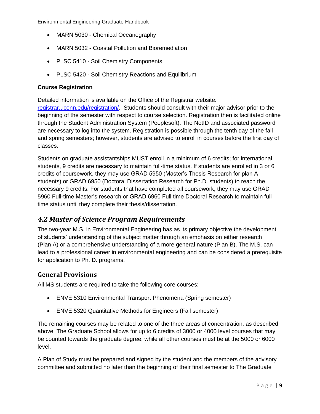- MARN 5030 Chemical Oceanography
- MARN 5032 Coastal Pollution and Bioremediation
- PLSC 5410 Soil Chemistry Components
- PLSC 5420 Soil Chemistry Reactions and Equilibrium

#### **Course Registration**

Detailed information is available on the Office of the Registrar website:

[registrar.uconn.edu/registration/.](https://registrar.uconn.edu/registration/) Students should consult with their major advisor prior to the beginning of the semester with respect to course selection. Registration then is facilitated online through the Student Administration System (Peoplesoft). The NetID and associated password are necessary to log into the system. Registration is possible through the tenth day of the fall and spring semesters; however, students are advised to enroll in courses before the first day of classes.

Students on graduate assistantships MUST enroll in a minimum of 6 credits; for international students, 9 credits are necessary to maintain full-time status. If students are enrolled in 3 or 6 credits of coursework, they may use GRAD 5950 (Master's Thesis Research for plan A students) or GRAD 6950 (Doctoral Dissertation Research for Ph.D. students) to reach the necessary 9 credits. For students that have completed all coursework, they may use GRAD 5960 Full-time Master's research or GRAD 6960 Full time Doctoral Research to maintain full time status until they complete their thesis/dissertation.

### <span id="page-8-0"></span>*4.2 Master of Science Program Requirements*

The two-year M.S. in Environmental Engineering has as its primary objective the development of students' understanding of the subject matter through an emphasis on either research (Plan A) or a comprehensive understanding of a more general nature (Plan B). The M.S. can lead to a professional career in environmental engineering and can be considered a prerequisite for application to Ph. D. programs.

#### <span id="page-8-1"></span>**General Provisions**

All MS students are required to take the following core courses:

- ENVE 5310 Environmental Transport Phenomena (Spring semester)
- ENVE 5320 Quantitative Methods for Engineers (Fall semester)

The remaining courses may be related to one of the three areas of concentration, as described above. The Graduate School allows for up to 6 credits of 3000 or 4000 level courses that may be counted towards the graduate degree, while all other courses must be at the 5000 or 6000 level.

A Plan of Study must be prepared and signed by the student and the members of the advisory committee and submitted no later than the beginning of their final semester to The Graduate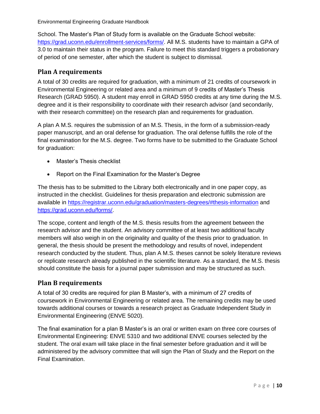School. The Master's Plan of Study form is available on the Graduate School website: [https://grad.uconn.edu/enrollment-services/forms/.](https://grad.uconn.edu/enrollment-services/forms/) All M.S. students have to maintain a GPA of 3.0 to maintain their status in the program. Failure to meet this standard triggers a probationary of period of one semester, after which the student is subject to dismissal.

#### <span id="page-9-0"></span>**Plan A requirements**

A total of 30 credits are required for graduation, with a minimum of 21 credits of coursework in Environmental Engineering or related area and a minimum of 9 credits of Master's Thesis Research (GRAD 5950). A student may enroll in GRAD 5950 credits at any time during the M.S. degree and it is their responsibility to coordinate with their research advisor (and secondarily, with their research committee) on the research plan and requirements for graduation.

A plan A M.S. requires the submission of an M.S. Thesis, in the form of a submission-ready paper manuscript, and an oral defense for graduation. The oral defense fulfills the role of the final examination for the M.S. degree. Two forms have to be submitted to the Graduate School for graduation:

- Master's Thesis checklist
- Report on the Final Examination for the Master's Degree

The thesis has to be submitted to the Library both electronically and in one paper copy, as instructed in the checklist. Guidelines for thesis preparation and electronic submission are available in<https://registrar.uconn.edu/graduation/masters-degrees/#thesis-information> and [https://grad.uconn.edu/forms/.](https://grad.uconn.edu/forms/)

The scope, content and length of the M.S. thesis results from the agreement between the research advisor and the student. An advisory committee of at least two additional faculty members will also weigh in on the originality and quality of the thesis prior to graduation. In general, the thesis should be present the methodology and results of novel, independent research conducted by the student. Thus, plan A M.S. theses cannot be solely literature reviews or replicate research already published in the scientific literature. As a standard, the M.S. thesis should constitute the basis for a journal paper submission and may be structured as such.

#### <span id="page-9-1"></span>**Plan B requirements**

A total of 30 credits are required for plan B Master's, with a minimum of 27 credits of coursework in Environmental Engineering or related area. The remaining credits may be used towards additional courses or towards a research project as Graduate Independent Study in Environmental Engineering (ENVE 5020).

The final examination for a plan B Master's is an oral or written exam on three core courses of Environmental Engineering: ENVE 5310 and two additional ENVE courses selected by the student. The oral exam will take place in the final semester before graduation and it will be administered by the advisory committee that will sign the Plan of Study and the Report on the Final Examination.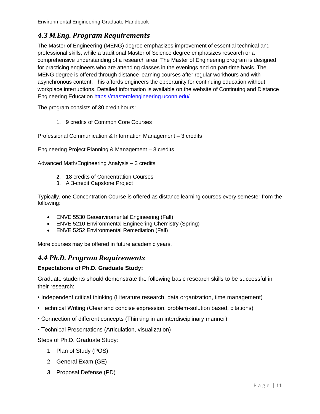## <span id="page-10-0"></span>*4.3 M.Eng. Program Requirements*

The Master of Engineering (MENG) degree emphasizes improvement of essential technical and professional skills, while a traditional Master of Science degree emphasizes research or a comprehensive understanding of a research area. The Master of Engineering program is designed for practicing engineers who are attending classes in the evenings and on part-time basis. The MENG degree is offered through distance learning courses after regular workhours and with asynchronous content. This affords engineers the opportunity for continuing education without workplace interruptions. Detailed information is available on the website of Continuing and Distance Engineering Education<https://masterofengineering.uconn.edu/>

The program consists of 30 credit hours:

1. 9 credits of Common Core Courses

Professional Communication & Information Management – 3 credits

Engineering Project Planning & Management – 3 credits

Advanced Math/Engineering Analysis – 3 credits

- 2. 18 credits of Concentration Courses
- 3. A 3-credit Capstone Project

Typically, one Concentration Course is offered as distance learning courses every semester from the following:

- ENVE 5530 Geoenviromental Engineering (Fall)
- ENVE 5210 Environmental Engineering Chemistry (Spring)
- ENVE 5252 Environmental Remediation (Fall)

More courses may be offered in future academic years.

### <span id="page-10-1"></span>*4.4 Ph.D. Program Requirements*

#### **Expectations of Ph.D. Graduate Study:**

Graduate students should demonstrate the following basic research skills to be successful in their research:

- Independent critical thinking (Literature research, data organization, time management)
- Technical Writing (Clear and concise expression, problem-solution based, citations)
- Connection of different concepts (Thinking in an interdisciplinary manner)
- Technical Presentations (Articulation, visualization)

Steps of Ph.D. Graduate Study:

- 1. Plan of Study (POS)
- 2. General Exam (GE)
- 3. Proposal Defense (PD)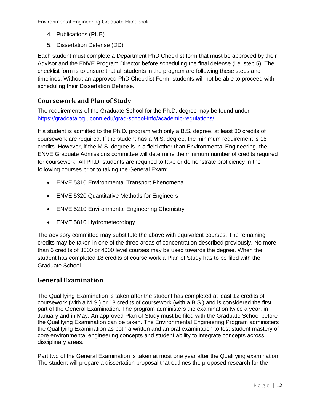- 4. Publications (PUB)
- 5. Dissertation Defense (DD)

Each student must complete a Department PhD Checklist form that must be approved by their Advisor and the ENVE Program Director before scheduling the final defense (i.e. step 5). The checklist form is to ensure that all students in the program are following these steps and timelines. Without an approved PhD Checklist Form, students will not be able to proceed with scheduling their Dissertation Defense.

### <span id="page-11-0"></span>**Coursework and Plan of Study**

The requirements of the Graduate School for the Ph.D. degree may be found under [https://gradcatalog.uconn.edu/grad-school-info/academic-regulations/.](https://gradcatalog.uconn.edu/grad-school-info/academic-regulations/)

If a student is admitted to the Ph.D. program with only a B.S. degree, at least 30 credits of coursework are required. If the student has a M.S. degree, the minimum requirement is 15 credits. However, if the M.S. degree is in a field other than Environmental Engineering, the ENVE Graduate Admissions committee will determine the minimum number of credits required for coursework. All Ph.D. students are required to take or demonstrate proficiency in the following courses prior to taking the General Exam:

- ENVE 5310 Environmental Transport Phenomena
- ENVE 5320 Quantitative Methods for Engineers
- ENVE 5210 Environmental Engineering Chemistry
- ENVE 5810 Hydrometeorology

The advisory committee may substitute the above with equivalent courses. The remaining credits may be taken in one of the three areas of concentration described previously. No more than 6 credits of 3000 or 4000 level courses may be used towards the degree. When the student has completed 18 credits of course work a Plan of Study has to be filed with the Graduate School.

#### <span id="page-11-1"></span>**General Examination**

The Qualifying Examination is taken after the student has completed at least 12 credits of coursework (with a M.S.) or 18 credits of coursework (with a B.S.) and is considered the first part of the General Examination. The program administers the examination twice a year, in January and in May. An approved Plan of Study must be filed with the Graduate School before the Qualifying Examination can be taken. The Environmental Engineering Program administers the Qualifying Examination as both a written and an oral examination to test student mastery of core environmental engineering concepts and student ability to integrate concepts across disciplinary areas.

Part two of the General Examination is taken at most one year after the Qualifying examination. The student will prepare a dissertation proposal that outlines the proposed research for the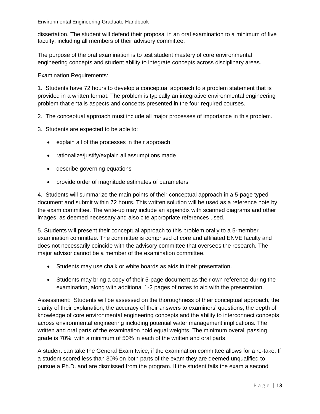dissertation. The student will defend their proposal in an oral examination to a minimum of five faculty, including all members of their advisory committee.

The purpose of the oral examination is to test student mastery of core environmental engineering concepts and student ability to integrate concepts across disciplinary areas.

Examination Requirements:

1. Students have 72 hours to develop a conceptual approach to a problem statement that is provided in a written format. The problem is typically an integrative environmental engineering problem that entails aspects and concepts presented in the four required courses.

2. The conceptual approach must include all major processes of importance in this problem.

- 3. Students are expected to be able to:
	- explain all of the processes in their approach
	- rationalize/justify/explain all assumptions made
	- describe governing equations
	- provide order of magnitude estimates of parameters

4. Students will summarize the main points of their conceptual approach in a 5-page typed document and submit within 72 hours. This written solution will be used as a reference note by the exam committee. The write-up may include an appendix with scanned diagrams and other images, as deemed necessary and also cite appropriate references used.

5. Students will present their conceptual approach to this problem orally to a 5-member examination committee. The committee is comprised of core and affiliated ENVE faculty and does not necessarily coincide with the advisory committee that oversees the research. The major advisor cannot be a member of the examination committee.

- Students may use chalk or white boards as aids in their presentation.
- Students may bring a copy of their 5-page document as their own reference during the examination, along with additional 1-2 pages of notes to aid with the presentation.

Assessment: Students will be assessed on the thoroughness of their conceptual approach, the clarity of their explanation, the accuracy of their answers to examiners' questions, the depth of knowledge of core environmental engineering concepts and the ability to interconnect concepts across environmental engineering including potential water management implications. The written and oral parts of the examination hold equal weights. The minimum overall passing grade is 70%, with a minimum of 50% in each of the written and oral parts.

A student can take the General Exam twice, if the examination committee allows for a re-take. If a student scored less than 30% on both parts of the exam they are deemed unqualified to pursue a Ph.D. and are dismissed from the program. If the student fails the exam a second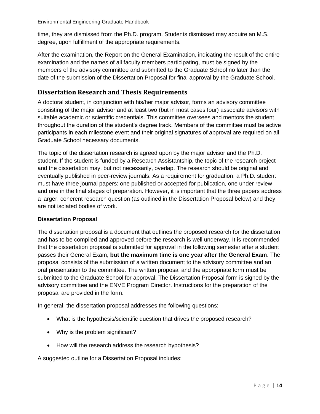time, they are dismissed from the Ph.D. program. Students dismissed may acquire an M.S. degree, upon fulfillment of the appropriate requirements.

After the examination, the Report on the General Examination, indicating the result of the entire examination and the names of all faculty members participating, must be signed by the members of the advisory committee and submitted to the Graduate School no later than the date of the submission of the Dissertation Proposal for final approval by the Graduate School.

#### <span id="page-13-0"></span>**Dissertation Research and Thesis Requirements**

A doctoral student, in conjunction with his/her major advisor, forms an advisory committee consisting of the major advisor and at least two (but in most cases four) associate advisors with suitable academic or scientific credentials. This committee oversees and mentors the student throughout the duration of the student's degree track. Members of the committee must be active participants in each milestone event and their original signatures of approval are required on all Graduate School necessary documents.

The topic of the dissertation research is agreed upon by the major advisor and the Ph.D. student. If the student is funded by a Research Assistantship, the topic of the research project and the dissertation may, but not necessarily, overlap. The research should be original and eventually published in peer-review journals. As a requirement for graduation, a Ph.D. student must have three journal papers: one published or accepted for publication, one under review and one in the final stages of preparation. However, it is important that the three papers address a larger, coherent research question (as outlined in the Dissertation Proposal below) and they are not isolated bodies of work.

#### **Dissertation Proposal**

The dissertation proposal is a document that outlines the proposed research for the dissertation and has to be compiled and approved before the research is well underway. It is recommended that the dissertation proposal is submitted for approval in the following semester after a student passes their General Exam, **but the maximum time is one year after the General Exam**. The proposal consists of the submission of a written document to the advisory committee and an oral presentation to the committee. The written proposal and the appropriate form must be submitted to the Graduate School for approval. The Dissertation Proposal form is signed by the advisory committee and the ENVE Program Director. Instructions for the preparation of the proposal are provided in the form.

In general, the dissertation proposal addresses the following questions:

- What is the hypothesis/scientific question that drives the proposed research?
- Why is the problem significant?
- How will the research address the research hypothesis?

A suggested outline for a Dissertation Proposal includes: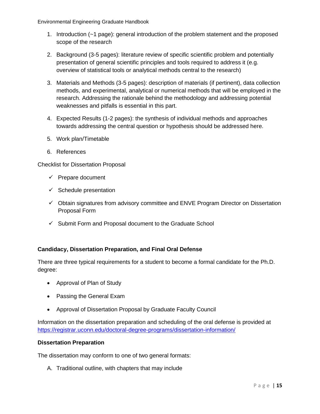- 1. Introduction (~1 page): general introduction of the problem statement and the proposed scope of the research
- 2. Background (3-5 pages): literature review of specific scientific problem and potentially presentation of general scientific principles and tools required to address it (e.g. overview of statistical tools or analytical methods central to the research)
- 3. Materials and Methods (3-5 pages): description of materials (if pertinent), data collection methods, and experimental, analytical or numerical methods that will be employed in the research. Addressing the rationale behind the methodology and addressing potential weaknesses and pitfalls is essential in this part.
- 4. Expected Results (1-2 pages): the synthesis of individual methods and approaches towards addressing the central question or hypothesis should be addressed here.
- 5. Work plan/Timetable
- 6. References

Checklist for Dissertation Proposal

- $\checkmark$  Prepare document
- $\checkmark$  Schedule presentation
- $\checkmark$  Obtain signatures from advisory committee and ENVE Program Director on Dissertation Proposal Form
- ✓ Submit Form and Proposal document to the Graduate School

#### **Candidacy, Dissertation Preparation, and Final Oral Defense**

There are three typical requirements for a student to become a formal candidate for the Ph.D. degree:

- Approval of Plan of Study
- Passing the General Exam
- Approval of Dissertation Proposal by Graduate Faculty Council

Information on the dissertation preparation and scheduling of the oral defense is provided at <https://registrar.uconn.edu/doctoral-degree-programs/dissertation-information/>

#### **Dissertation Preparation**

The dissertation may conform to one of two general formats:

A. Traditional outline, with chapters that may include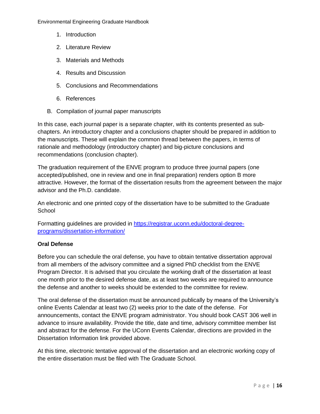- 1. Introduction
- 2. Literature Review
- 3. Materials and Methods
- 4. Results and Discussion
- 5. Conclusions and Recommendations
- 6. References
- B. Compilation of journal paper manuscripts

In this case, each journal paper is a separate chapter, with its contents presented as subchapters. An introductory chapter and a conclusions chapter should be prepared in addition to the manuscripts. These will explain the common thread between the papers, in terms of rationale and methodology (introductory chapter) and big-picture conclusions and recommendations (conclusion chapter).

The graduation requirement of the ENVE program to produce three journal papers (one accepted/published, one in review and one in final preparation) renders option B more attractive. However, the format of the dissertation results from the agreement between the major advisor and the Ph.D. candidate.

An electronic and one printed copy of the dissertation have to be submitted to the Graduate **School** 

Formatting guidelines are provided in [https://registrar.uconn.edu/doctoral-degree](https://registrar.uconn.edu/doctoral-degree-programs/dissertation-information/)[programs/dissertation-information/](https://registrar.uconn.edu/doctoral-degree-programs/dissertation-information/)

#### **Oral Defense**

Before you can schedule the oral defense, you have to obtain tentative dissertation approval from all members of the advisory committee and a signed PhD checklist from the ENVE Program Director. It is advised that you circulate the working draft of the dissertation at least one month prior to the desired defense date, as at least two weeks are required to announce the defense and another to weeks should be extended to the committee for review.

The oral defense of the dissertation must be announced publically by means of the University's online Events Calendar at least two (2) weeks prior to the date of the defense. For announcements, contact the ENVE program administrator. You should book CAST 306 well in advance to insure availability. Provide the title, date and time, advisory committee member list and abstract for the defense. For the UConn Events Calendar, directions are provided in the Dissertation Information link provided above.

At this time, electronic tentative approval of the dissertation and an electronic working copy of the entire dissertation must be filed with The Graduate School.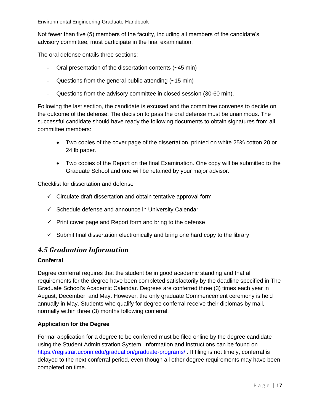Not fewer than five (5) members of the faculty, including all members of the candidate's advisory committee, must participate in the final examination.

The oral defense entails three sections:

- Oral presentation of the dissertation contents (~45 min)
- Questions from the general public attending (~15 min)
- Questions from the advisory committee in closed session (30-60 min).

Following the last section, the candidate is excused and the committee convenes to decide on the outcome of the defense. The decision to pass the oral defense must be unanimous. The successful candidate should have ready the following documents to obtain signatures from all committee members:

- Two copies of the cover page of the dissertation, printed on white 25% cotton 20 or 24 lb paper.
- Two copies of the Report on the final Examination. One copy will be submitted to the Graduate School and one will be retained by your major advisor.

Checklist for dissertation and defense

- $\checkmark$  Circulate draft dissertation and obtain tentative approval form
- ✓ Schedule defense and announce in University Calendar
- $\checkmark$  Print cover page and Report form and bring to the defense
- $\checkmark$  Submit final dissertation electronically and bring one hard copy to the library

### <span id="page-16-0"></span>*4.5 Graduation Information*

#### **Conferral**

Degree conferral requires that the student be in good academic standing and that all requirements for the degree have been completed satisfactorily by the deadline specified in The Graduate School's Academic Calendar. Degrees are conferred three (3) times each year in August, December, and May. However, the only graduate Commencement ceremony is held annually in May. Students who qualify for degree conferral receive their diplomas by mail, normally within three (3) months following conferral.

#### **Application for the Degree**

Formal application for a degree to be conferred must be filed online by the degree candidate using the Student Administration System. Information and instructions can be found on <https://registrar.uconn.edu/graduation/graduate-programs/> . If filing is not timely, conferral is delayed to the next conferral period, even though all other degree requirements may have been completed on time.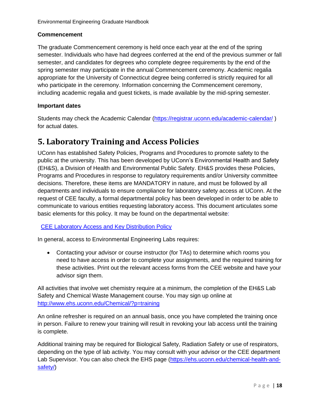#### **Commencement**

The graduate Commencement ceremony is held once each year at the end of the spring semester. Individuals who have had degrees conferred at the end of the previous summer or fall semester, and candidates for degrees who complete degree requirements by the end of the spring semester may participate in the annual Commencement ceremony. Academic regalia appropriate for the University of Connecticut degree being conferred is strictly required for all who participate in the ceremony. Information concerning the Commencement ceremony, including academic regalia and guest tickets, is made available by the mid-spring semester.

#### **Important dates**

Students may check the Academic Calendar [\(https://registrar.uconn.edu/academic-calendar/](https://registrar.uconn.edu/academic-calendar/)) for actual dates.

# <span id="page-17-0"></span>**5. Laboratory Training and Access Policies**

UConn has established Safety Policies, Programs and Procedures to promote safety to the public at the university. This has been developed by UConn's Environmental Health and Safety (EH&S), a Division of Health and Environmental Public Safety. EH&S provides these Policies, Programs and Procedures in response to regulatory requirements and/or University committee decisions. Therefore, these items are MANDATORY in nature, and must be followed by all departments and individuals to ensure compliance for laboratory safety access at UConn. At the request of CEE faculty, a formal departmental policy has been developed in order to be able to communicate to various entities requesting laboratory access. This document articulates some basic elements for this policy. It may be found on the departmental website:

[CEE Laboratory Access and Key Distribution Policy](https://cee.engr.uconn.edu/wp-content/uploads/2019/12/CEE-Laboratory-Access-and-Key-Distribution-Policy-12_11_19.pdf)

In general, access to Environmental Engineering Labs requires:

• Contacting your advisor or course instructor (for TAs) to determine which rooms you need to have access in order to complete your assignments, and the required training for these activities. Print out the relevant access forms from the CEE website and have your advisor sign them.

All activities that involve wet chemistry require at a minimum, the completion of the EH&S Lab Safety and Chemical Waste Management course. You may sign up online at <http://www.ehs.uconn.edu/Chemical/?p=training>

An online refresher is required on an annual basis, once you have completed the training once in person. Failure to renew your training will result in revoking your lab access until the training is complete.

Additional training may be required for Biological Safety, Radiation Safety or use of respirators, depending on the type of lab activity. You may consult with your advisor or the CEE department Lab Supervisor. You can also check the EHS page (https://ehs.uconn.edu/chemical-health-andsafety/)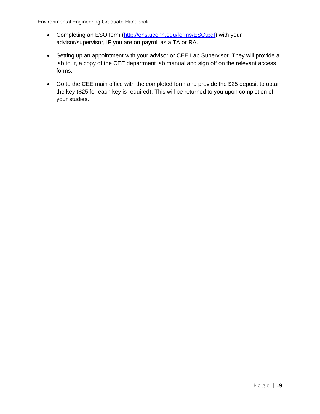- Completing an ESO form [\(http://ehs.uconn.edu/forms/ESO.pdf\)](http://ehs.uconn.edu/forms/ESO.pdf) with your advisor/supervisor, IF you are on payroll as a TA or RA.
- Setting up an appointment with your advisor or CEE Lab Supervisor. They will provide a lab tour, a copy of the CEE department lab manual and sign off on the relevant access forms.
- Go to the CEE main office with the completed form and provide the \$25 deposit to obtain the key (\$25 for each key is required). This will be returned to you upon completion of your studies.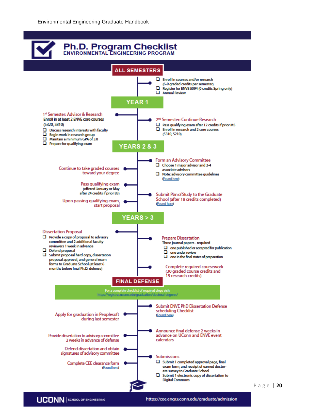

P a g e | **20**